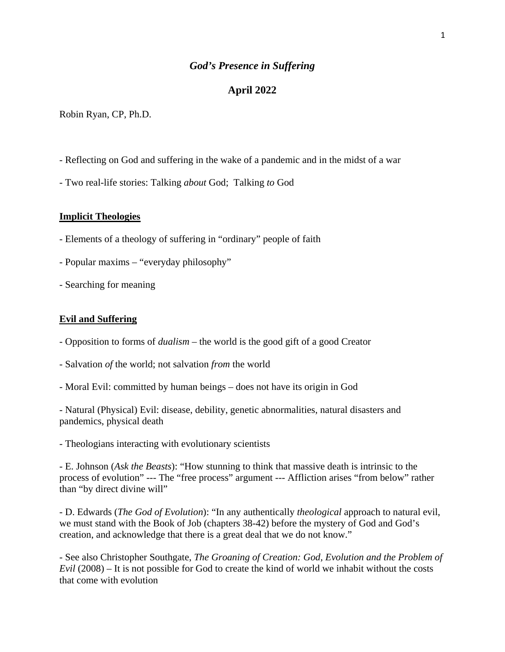## *God's Presence in Suffering*

## **April 2022**

Robin Ryan, CP, Ph.D.

- Reflecting on God and suffering in the wake of a pandemic and in the midst of a war
- Two real-life stories: Talking *about* God; Talking *to* God

#### **Implicit Theologies**

- Elements of a theology of suffering in "ordinary" people of faith
- Popular maxims "everyday philosophy"
- Searching for meaning

#### **Evil and Suffering**

- Opposition to forms of *dualism* the world is the good gift of a good Creator
- Salvation *of* the world; not salvation *from* the world
- Moral Evil: committed by human beings does not have its origin in God

- Natural (Physical) Evil: disease, debility, genetic abnormalities, natural disasters and pandemics, physical death

- Theologians interacting with evolutionary scientists

- E. Johnson (*Ask the Beasts*): "How stunning to think that massive death is intrinsic to the process of evolution" --- The "free process" argument --- Affliction arises "from below" rather than "by direct divine will"

- D. Edwards (*The God of Evolution*): "In any authentically *theological* approach to natural evil, we must stand with the Book of Job (chapters 38-42) before the mystery of God and God's creation, and acknowledge that there is a great deal that we do not know."

- See also Christopher Southgate, *The Groaning of Creation: God, Evolution and the Problem of Evil* (2008) – It is not possible for God to create the kind of world we inhabit without the costs that come with evolution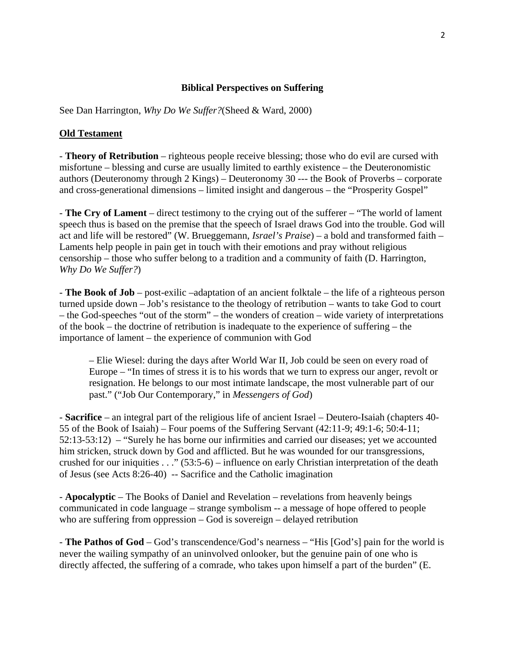## **Biblical Perspectives on Suffering**

See Dan Harrington, *Why Do We Suffer?*(Sheed & Ward, 2000)

#### **Old Testament**

- **Theory of Retribution** – righteous people receive blessing; those who do evil are cursed with misfortune – blessing and curse are usually limited to earthly existence – the Deuteronomistic authors (Deuteronomy through 2 Kings) – Deuteronomy 30 --- the Book of Proverbs – corporate and cross-generational dimensions – limited insight and dangerous – the "Prosperity Gospel"

- **The Cry of Lament** – direct testimony to the crying out of the sufferer – "The world of lament speech thus is based on the premise that the speech of Israel draws God into the trouble. God will act and life will be restored" (W. Brueggemann, *Israel's Praise*) – a bold and transformed faith – Laments help people in pain get in touch with their emotions and pray without religious censorship – those who suffer belong to a tradition and a community of faith (D. Harrington, *Why Do We Suffer?*)

- **The Book of Job** – post-exilic –adaptation of an ancient folktale – the life of a righteous person turned upside down – Job's resistance to the theology of retribution – wants to take God to court – the God-speeches "out of the storm" – the wonders of creation – wide variety of interpretations of the book – the doctrine of retribution is inadequate to the experience of suffering – the importance of lament – the experience of communion with God

– Elie Wiesel: during the days after World War II, Job could be seen on every road of Europe – "In times of stress it is to his words that we turn to express our anger, revolt or resignation. He belongs to our most intimate landscape, the most vulnerable part of our past." ("Job Our Contemporary," in *Messengers of God*)

- **Sacrifice** – an integral part of the religious life of ancient Israel – Deutero-Isaiah (chapters 40- 55 of the Book of Isaiah) – Four poems of the Suffering Servant (42:11-9; 49:1-6; 50:4-11; 52:13-53:12) – "Surely he has borne our infirmities and carried our diseases; yet we accounted him stricken, struck down by God and afflicted. But he was wounded for our transgressions, crushed for our iniquities  $\dots$  " (53:5-6) – influence on early Christian interpretation of the death of Jesus (see Acts 8:26-40) -- Sacrifice and the Catholic imagination

- **Apocalyptic** – The Books of Daniel and Revelation – revelations from heavenly beings communicated in code language – strange symbolism -- a message of hope offered to people who are suffering from oppression – God is sovereign – delayed retribution

- **The Pathos of God** – God's transcendence/God's nearness – "His [God's] pain for the world is never the wailing sympathy of an uninvolved onlooker, but the genuine pain of one who is directly affected, the suffering of a comrade, who takes upon himself a part of the burden" (E.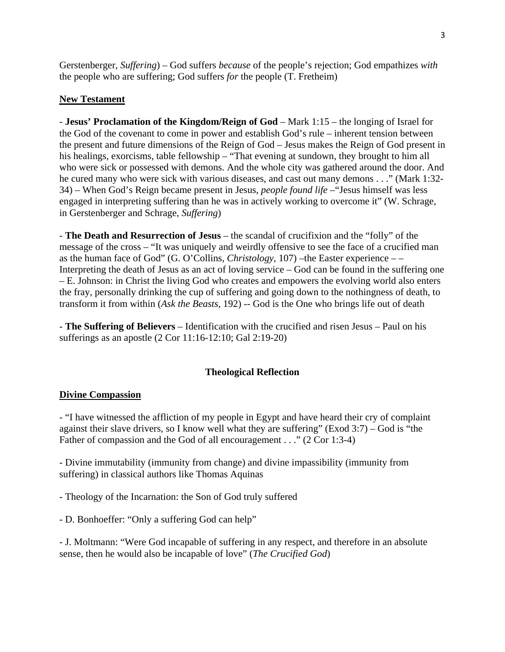Gerstenberger, *Suffering*) – God suffers *because* of the people's rejection; God empathizes *with*  the people who are suffering; God suffers *for* the people (T. Fretheim)

# **New Testament**

- **Jesus' Proclamation of the Kingdom/Reign of God** – Mark 1:15 – the longing of Israel for the God of the covenant to come in power and establish God's rule – inherent tension between the present and future dimensions of the Reign of God – Jesus makes the Reign of God present in his healings, exorcisms, table fellowship – "That evening at sundown, they brought to him all who were sick or possessed with demons. And the whole city was gathered around the door. And he cured many who were sick with various diseases, and cast out many demons . . ." (Mark 1:32- 34) – When God's Reign became present in Jesus, *people found life –*"Jesus himself was less engaged in interpreting suffering than he was in actively working to overcome it" (W. Schrage, in Gerstenberger and Schrage, *Suffering*)

- **The Death and Resurrection of Jesus** – the scandal of crucifixion and the "folly" of the message of the cross – "It was uniquely and weirdly offensive to see the face of a crucified man as the human face of God" (G. O'Collins, *Christology*, 107) –the Easter experience – – Interpreting the death of Jesus as an act of loving service – God can be found in the suffering one – E. Johnson: in Christ the living God who creates and empowers the evolving world also enters the fray, personally drinking the cup of suffering and going down to the nothingness of death, to transform it from within (*Ask the Beasts*, 192) -- God is the One who brings life out of death

- **The Suffering of Believers** – Identification with the crucified and risen Jesus – Paul on his sufferings as an apostle (2 Cor 11:16-12:10; Gal 2:19-20)

# **Theological Reflection**

## **Divine Compassion**

- "I have witnessed the affliction of my people in Egypt and have heard their cry of complaint against their slave drivers, so I know well what they are suffering" (Exod 3:7) – God is "the Father of compassion and the God of all encouragement . . ." (2 Cor 1:3-4)

- Divine immutability (immunity from change) and divine impassibility (immunity from suffering) in classical authors like Thomas Aquinas

- Theology of the Incarnation: the Son of God truly suffered

- D. Bonhoeffer: "Only a suffering God can help"

- J. Moltmann: "Were God incapable of suffering in any respect, and therefore in an absolute sense, then he would also be incapable of love" (*The Crucified God*)